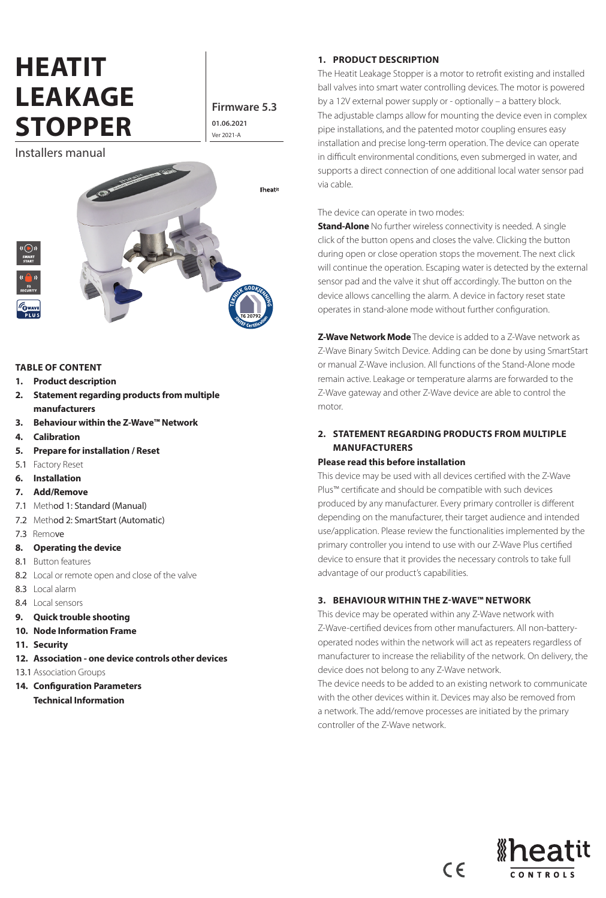# **HEATIT LEAKAGE STOPPER** Ver 2021-A

**Firmware 5.3 01.06.2021**

Installers manual



#### **TABLE OF CONTENT**

- **1. Product description**
- **2. Statement regarding products from multiple manufacturers**
- **3. Behaviour within the Z-Wave™ Network**
- **4. Calibration**
- **5. Prepare for installation / Reset**
- 5.1 Factory Reset
- **6. Installation**
- **7. Add/Remove**
- 7.1 Method 1: Standard (Manual)
- 7.2 Method 2: SmartStart (Automatic)
- 7.3 Remove
- **8. Operating the device**
- 8.1 Button features
- 8.2 Local or remote open and close of the valve
- 8.3 Local alarm
- 8.4 Local sensors
- **9. Quick trouble shooting**
- **10. Node Information Frame**
- **11. Security**
- **12. Association one device controls other devices**
- 13.1 Association Groups
- **14. Configuration Parameters Technical Information**

#### **1. PRODUCT DESCRIPTION**

The Heatit Leakage Stopper is a motor to retrofit existing and installed ball valves into smart water controlling devices. The motor is powered by a 12V external power supply or - optionally – a battery block. The adjustable clamps allow for mounting the device even in complex pipe installations, and the patented motor coupling ensures easy installation and precise long-term operation. The device can operate in difficult environmental conditions, even submerged in water, and supports a direct connection of one additional local water sensor pad via cable.

The device can operate in two modes:

**Stand-Alone** No further wireless connectivity is needed. A single click of the button opens and closes the valve. Clicking the button during open or close operation stops the movement. The next click will continue the operation. Escaping water is detected by the external sensor pad and the valve it shut off accordingly. The button on the device allows cancelling the alarm. A device in factory reset state operates in stand-alone mode without further configuration.

**Z-Wave Network Mode** The device is added to a Z-Wave network as Z-Wave Binary Switch Device. Adding can be done by using SmartStart or manual Z-Wave inclusion. All functions of the Stand-Alone mode remain active. Leakage or temperature alarms are forwarded to the Z-Wave gateway and other Z-Wave device are able to control the motor.

# **2. STATEMENT REGARDING PRODUCTS FROM MULTIPLE MANUFACTURERS**

#### **Please read this before installation**

This device may be used with all devices certified with the Z-Wave Plus™ certificate and should be compatible with such devices produced by any manufacturer. Every primary controller is different depending on the manufacturer, their target audience and intended use/application. Please review the functionalities implemented by the primary controller you intend to use with our Z-Wave Plus certified device to ensure that it provides the necessary controls to take full advantage of our product's capabilities.

# **3. BEHAVIOUR WITHIN THE Z-WAVE™ NETWORK**

This device may be operated within any Z-Wave network with Z-Wave-certified devices from other manufacturers. All non-batteryoperated nodes within the network will act as repeaters regardless of manufacturer to increase the reliability of the network. On delivery, the device does not belong to any Z-Wave network.

The device needs to be added to an existing network to communicate with the other devices within it. Devices may also be removed from a network. The add/remove processes are initiated by the primary controller of the Z-Wave network.

 $C \in$ 

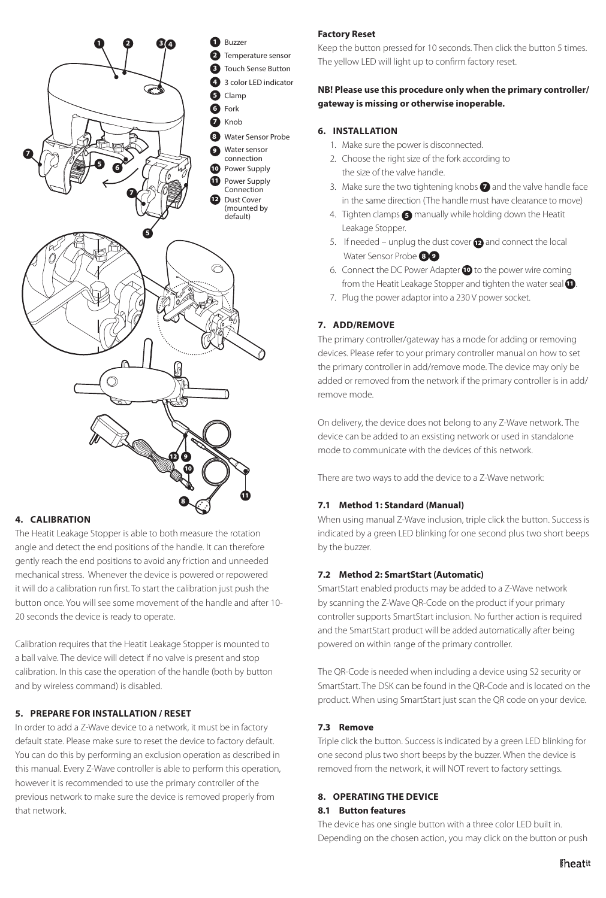

# **4. CALIBRATION**

The Heatit Leakage Stopper is able to both measure the rotation angle and detect the end positions of the handle. It can therefore gently reach the end positions to avoid any friction and unneeded mechanical stress. Whenever the device is powered or repowered it will do a calibration run first. To start the calibration just push the button once. You will see some movement of the handle and after 10- 20 seconds the device is ready to operate.

Calibration requires that the Heatit Leakage Stopper is mounted to a ball valve. The device will detect if no valve is present and stop calibration. In this case the operation of the handle (both by button and by wireless command) is disabled.

# **5. PREPARE FOR INSTALLATION / RESET**

In order to add a Z-Wave device to a network, it must be in factory default state. Please make sure to reset the device to factory default. You can do this by performing an exclusion operation as described in this manual. Every Z-Wave controller is able to perform this operation, however it is recommended to use the primary controller of the previous network to make sure the device is removed properly from that network.

# **Factory Reset**

Keep the button pressed for 10 seconds. Then click the button 5 times. The yellow LED will light up to confirm factory reset.

# **NB! Please use this procedure only when the primary controller/ gateway is missing or otherwise inoperable.**

# **6. INSTALLATION**

- 1. Make sure the power is disconnected.
- 2. Choose the right size of the fork according to the size of the valve handle.
- 3. Make sure the two tightening knobs **7** and the valve handle face in the same direction (The handle must have clearance to move)
- 4. Tighten clamps **5** manually while holding down the Heatit Leakage Stopper.
- 5. If needed unplug the dust cover  $\bullet$  and connect the local Water Sensor Probe **8 9**
- 6. Connect the DC Power Adapter 10 to the power wire coming from the Heatit Leakage Stopper and tighten the water seal  $\bullet$ .
- 7. Plug the power adaptor into a 230 V power socket.

# **7. ADD/REMOVE**

The primary controller/gateway has a mode for adding or removing devices. Please refer to your primary controller manual on how to set the primary controller in add/remove mode. The device may only be added or removed from the network if the primary controller is in add/ remove mode.

On delivery, the device does not belong to any Z-Wave network. The device can be added to an exsisting network or used in standalone mode to communicate with the devices of this network.

There are two ways to add the device to a Z-Wave network:

# **7.1 Method 1: Standard (Manual)**

When using manual Z-Wave inclusion, triple click the button. Success is indicated by a green LED blinking for one second plus two short beeps by the buzzer.

# **7.2 Method 2: SmartStart (Automatic)**

SmartStart enabled products may be added to a Z-Wave network by scanning the Z-Wave QR-Code on the product if your primary controller supports SmartStart inclusion. No further action is required and the SmartStart product will be added automatically after being powered on within range of the primary controller.

The QR-Code is needed when including a device using S2 security or SmartStart. The DSK can be found in the QR-Code and is located on the product. When using SmartStart just scan the QR code on your device.

# **7.3 Remove**

Triple click the button. Success is indicated by a green LED blinking for one second plus two short beeps by the buzzer. When the device is removed from the network, it will NOT revert to factory settings.

# **8. OPERATING THE DEVICE**

# **8.1 Button features**

The device has one single button with a three color LED built in. Depending on the chosen action, you may click on the button or push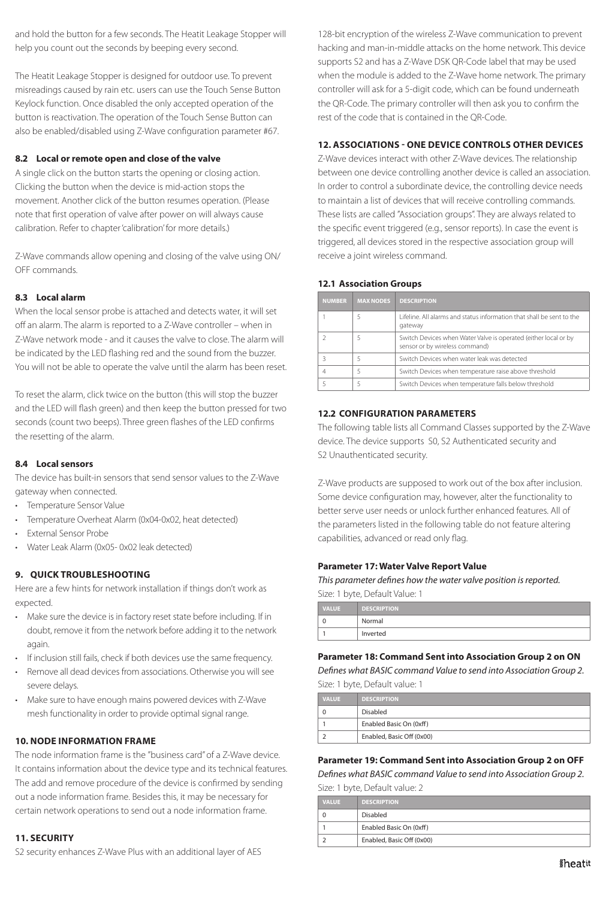and hold the button for a few seconds. The Heatit Leakage Stopper will help you count out the seconds by beeping every second.

The Heatit Leakage Stopper is designed for outdoor use. To prevent misreadings caused by rain etc. users can use the Touch Sense Button Keylock function. Once disabled the only accepted operation of the button is reactivation. The operation of the Touch Sense Button can also be enabled/disabled using Z-Wave configuration parameter #67.

# **8.2 Local or remote open and close of the valve**

A single click on the button starts the opening or closing action. Clicking the button when the device is mid-action stops the movement. Another click of the button resumes operation. (Please note that first operation of valve after power on will always cause calibration. Refer to chapter 'calibration' for more details.)

Z-Wave commands allow opening and closing of the valve using ON/ OFF commands.

# **8.3 Local alarm**

When the local sensor probe is attached and detects water, it will set off an alarm. The alarm is reported to a Z-Wave controller – when in Z-Wave network mode - and it causes the valve to close. The alarm will be indicated by the LED flashing red and the sound from the buzzer. You will not be able to operate the valve until the alarm has been reset.

To reset the alarm, click twice on the button (this will stop the buzzer and the LED will flash green) and then keep the button pressed for two seconds (count two beeps). Three green flashes of the LED confirms the resetting of the alarm.

#### **8.4 Local sensors**

The device has built-in sensors that send sensor values to the Z-Wave gateway when connected.

- Temperature Sensor Value
- Temperature Overheat Alarm (0x04-0x02, heat detected)
- External Sensor Probe
- Water Leak Alarm (0x05- 0x02 leak detected)

# **9. QUICK TROUBLESHOOTING**

Here are a few hints for network installation if things don't work as expected.

- Make sure the device is in factory reset state before including. If in doubt, remove it from the network before adding it to the network again.
- If inclusion still fails, check if both devices use the same frequency.
- Remove all dead devices from associations. Otherwise you will see severe delays.
- Make sure to have enough mains powered devices with Z-Wave mesh functionality in order to provide optimal signal range.

#### **10. NODE INFORMATION FRAME**

The node information frame is the "business card" of a Z-Wave device. It contains information about the device type and its technical features. The add and remove procedure of the device is confirmed by sending out a node information frame. Besides this, it may be necessary for certain network operations to send out a node information frame.

#### **11. SECURITY**

S2 security enhances Z-Wave Plus with an additional layer of AES

128-bit encryption of the wireless Z-Wave communication to prevent hacking and man-in-middle attacks on the home network. This device supports S2 and has a Z-Wave DSK QR-Code label that may be used when the module is added to the Z-Wave home network. The primary controller will ask for a 5-digit code, which can be found underneath the QR-Code. The primary controller will then ask you to confirm the rest of the code that is contained in the QR-Code.

## **12. ASSOCIATIONS - ONE DEVICE CONTROLS OTHER DEVICES**

Z-Wave devices interact with other Z-Wave devices. The relationship between one device controlling another device is called an association. In order to control a subordinate device, the controlling device needs to maintain a list of devices that will receive controlling commands. These lists are called "Association groups". They are always related to the specific event triggered (e.g., sensor reports). In case the event is triggered, all devices stored in the respective association group will receive a joint wireless command.

#### **12.1 Association Groups**

| <b>NUMBER</b> | <b>MAX NODES</b> | <b>DESCRIPTION</b>                                                                                |
|---------------|------------------|---------------------------------------------------------------------------------------------------|
|               |                  | Lifeline. All alarms and status information that shall be sent to the<br>gateway                  |
|               |                  | Switch Devices when Water Valve is operated (either local or by<br>sensor or by wireless command) |
|               |                  | Switch Devices when water leak was detected                                                       |
|               |                  | Switch Devices when temperature raise above threshold                                             |
|               |                  | Switch Devices when temperature falls below threshold                                             |

# **12.2 CONFIGURATION PARAMETERS**

The following table lists all Command Classes supported by the Z-Wave device. The device supports S0, S2 Authenticated security and S2 Unauthenticated security.

Z-Wave products are supposed to work out of the box after inclusion. Some device configuration may, however, alter the functionality to better serve user needs or unlock further enhanced features. All of the parameters listed in the following table do not feature altering capabilities, advanced or read only flag.

### **Parameter 17: Water Valve Report Value**

*This parameter defines how the water valve position is reported.*

| Size: 1 byte, Default Value: 1 |                    |  |
|--------------------------------|--------------------|--|
| <b>VALUE</b>                   | <b>DESCRIPTION</b> |  |
| 0                              | Normal             |  |
|                                | Inverted           |  |

#### **Parameter 18: Command Sent into Association Group 2 on ON**

*Defines what BASIC command Value to send into Association Group 2.* Size: 1 byte, Default value: 1

| <b>VALUE</b> | <b>DESCRIPTION</b>        |
|--------------|---------------------------|
|              | <b>Disabled</b>           |
|              | Enabled Basic On (0xff)   |
|              | Enabled, Basic Off (0x00) |

#### **Parameter 19: Command Sent into Association Group 2 on OFF**

*Defines what BASIC command Value to send into Association Group 2.* Size: 1 byte, Default value: 2

| <b>VALUE</b> | <b>DESCRIPTION</b>        |
|--------------|---------------------------|
|              | Disabled                  |
|              | Enabled Basic On (0xff)   |
|              | Enabled, Basic Off (0x00) |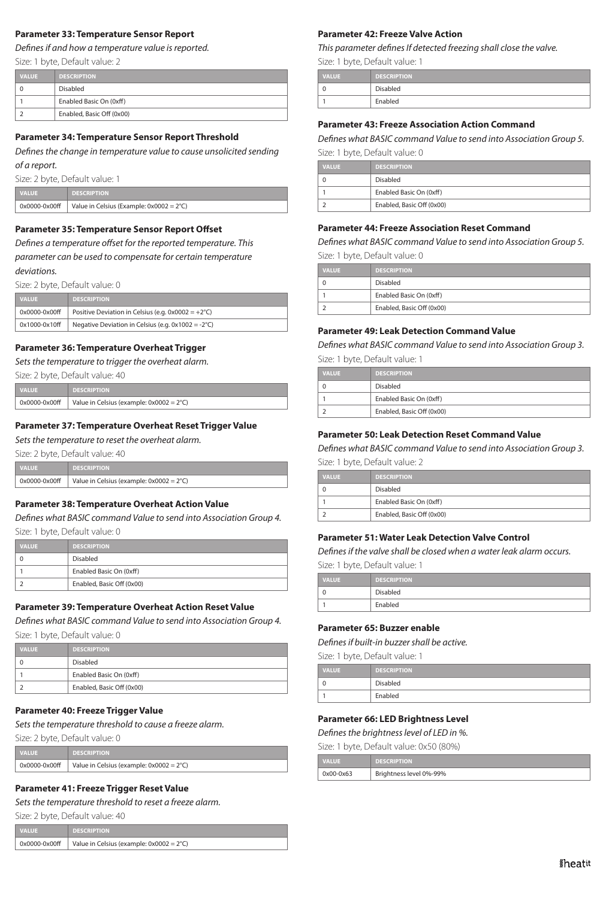#### **Parameter 33: Temperature Sensor Report**

*Defines if and how a temperature value is reported.*

Size: 1 byte, Default value: 2

| <b>VALUE</b> | <b>DESCRIPTION</b>        |
|--------------|---------------------------|
|              | Disabled                  |
|              | Enabled Basic On (0xff)   |
|              | Enabled, Basic Off (0x00) |

#### **Parameter 34: Temperature Sensor Report Threshold**

*Defines the change in temperature value to cause unsolicited sending of a report.*

Size: 2 byte, Default value: 1

| <b>VALUE</b>  | <b>DESCRIPTION</b>                                 |
|---------------|----------------------------------------------------|
| 0x0000-0x00ff | Value in Celsius (Example: $0x0002 = 2^{\circ}C$ ) |

#### **Parameter 35: Temperature Sensor Report Offset**

*Defines a temperature offset for the reported temperature. This parameter can be used to compensate for certain temperature deviations.*

Size: 2 byte, Default value: 0

| <b>VALUE</b>  | <b>DESCRIPTION</b>                                           |
|---------------|--------------------------------------------------------------|
| 0x0000-0x00ff | Positive Deviation in Celsius (e.g. $0x0002 = +2^{\circ}C$ ) |
| 0x1000-0x10ff | Negative Deviation in Celsius (e.g. $0x1002 = -2^{\circ}C$ ) |

#### **Parameter 36: Temperature Overheat Trigger**

*Sets the temperature to trigger the overheat alarm.*

Size: 2 byte, Default value: 40

| <b>VALUE</b>      | <b>DESCRIPTION</b>                                 |
|-------------------|----------------------------------------------------|
| $0x0000 - 0x00ff$ | Value in Celsius (example: $0x0002 = 2^{\circ}C$ ) |

#### **Parameter 37: Temperature Overheat Reset Trigger Value**

*Sets the temperature to reset the overheat alarm.*

Size: 2 byte, Default value: 40

| <b>VALUE</b> | <b>NU DESCRIPTION \</b>                                            |
|--------------|--------------------------------------------------------------------|
|              | $0 \times 0000$ -0x00ff   Value in Celsius (example: 0x0002 = 2°C) |

#### **Parameter 38: Temperature Overheat Action Value**

*Defines what BASIC command Value to send into Association Group 4.* Size: 1 byte, Default value: 0

| <b>VALUE</b> | <b>DESCRIPTION</b>        |
|--------------|---------------------------|
|              | Disabled                  |
|              | Enabled Basic On (0xff)   |
|              | Enabled, Basic Off (0x00) |

#### **Parameter 39: Temperature Overheat Action Reset Value**

*Defines what BASIC command Value to send into Association Group 4.*

Size: 1 byte, Default value: 0

| <b>VALUE</b> | <b>DESCRIPTION</b>        |
|--------------|---------------------------|
|              | Disabled                  |
|              | Enabled Basic On (0xff)   |
|              | Enabled, Basic Off (0x00) |

#### **Parameter 40: Freeze Trigger Value**

*Sets the temperature threshold to cause a freeze alarm.* 

Size: 2 byte, Default value: 0

| <b>VALUE</b>  | <b>DESCRIPTION</b>                                 |
|---------------|----------------------------------------------------|
| 0x0000-0x00ff | Value in Celsius (example: $0x0002 = 2^{\circ}C$ ) |

#### **Parameter 41: Freeze Trigger Reset Value**

*Sets the temperature threshold to reset a freeze alarm.*

| Size: 2 byte, Default value: 40 |                                                    |  |  |  |
|---------------------------------|----------------------------------------------------|--|--|--|
| <b>VALUE</b>                    | <b>DESCRIPTION</b>                                 |  |  |  |
| 0x0000-0x00ff                   | Value in Celsius (example: $0x0002 = 2^{\circ}C$ ) |  |  |  |

#### **Parameter 42: Freeze Valve Action**

*This parameter defines If detected freezing shall close the valve.*

Size: 1 byte, Default value: 1

| <b>VALUE</b> | <b>DESCRIPTION</b> |
|--------------|--------------------|
| $\mathbf 0$  | Disabled           |
|              | Enabled            |

#### **Parameter 43: Freeze Association Action Command**

*Defines what BASIC command Value to send into Association Group 5.* Size: 1 byte, Default value: 0

| <b>VALUE</b> | <b>DESCRIPTION</b>        |
|--------------|---------------------------|
|              | Disabled                  |
|              | Enabled Basic On (0xff)   |
|              | Enabled, Basic Off (0x00) |

#### **Parameter 44: Freeze Association Reset Command**

*Defines what BASIC command Value to send into Association Group 5.* Size: 1 byte, Default value: 0

| <b>VALUE</b> | <b>DESCRIPTION</b>        |  |  |  |  |
|--------------|---------------------------|--|--|--|--|
|              | Disabled                  |  |  |  |  |
|              | Enabled Basic On (0xff)   |  |  |  |  |
|              | Enabled, Basic Off (0x00) |  |  |  |  |

#### **Parameter 49: Leak Detection Command Value**

*Defines what BASIC command Value to send into Association Group 3.*

Size: 1 byte, Default value: 1

| <b>VALUE</b> | <b>DESCRIPTION</b>        |
|--------------|---------------------------|
|              | Disabled                  |
|              | Enabled Basic On (0xff)   |
|              | Enabled, Basic Off (0x00) |

#### **Parameter 50: Leak Detection Reset Command Value**

*Defines what BASIC command Value to send into Association Group 3.*

|  |  |  | Size: 1 byte, Default value: 2 |
|--|--|--|--------------------------------|
|--|--|--|--------------------------------|

| <b>VALUE</b> | <b>DESCRIPTION</b>        |
|--------------|---------------------------|
|              | Disabled                  |
|              | Enabled Basic On (0xff)   |
|              | Enabled, Basic Off (0x00) |

#### **Parameter 51: Water Leak Detection Valve Control**

*Defines if the valve shall be closed when a water leak alarm occurs.*

Size: 1 byte, Default value: 1

| <b>VALUE</b> | <b>DESCRIPTION</b> |
|--------------|--------------------|
| 0            | Disabled           |
| 1            | Enabled            |

#### **Parameter 65: Buzzer enable**

*Defines if built-in buzzer shall be active.*

|  |  | Size: 1 byte, Default value: 1 |  |  |
|--|--|--------------------------------|--|--|
|--|--|--------------------------------|--|--|

| <b>VALUE</b> | <b>DESCRIPTION</b> |
|--------------|--------------------|
| C            | Disabled           |
|              | Enabled            |

#### **Parameter 66: LED Brightness Level**

*Defines the brightness level of LED in %.*

Size: 1 byte, Default value: 0x50 (80%)

|  |  |  | . |  |  |  |
|--|--|--|---|--|--|--|
|  |  |  |   |  |  |  |

| <b>VALUE</b> | <b>DESCRIPTION</b>      |
|--------------|-------------------------|
| 0x00-0x63    | Brightness level 0%-99% |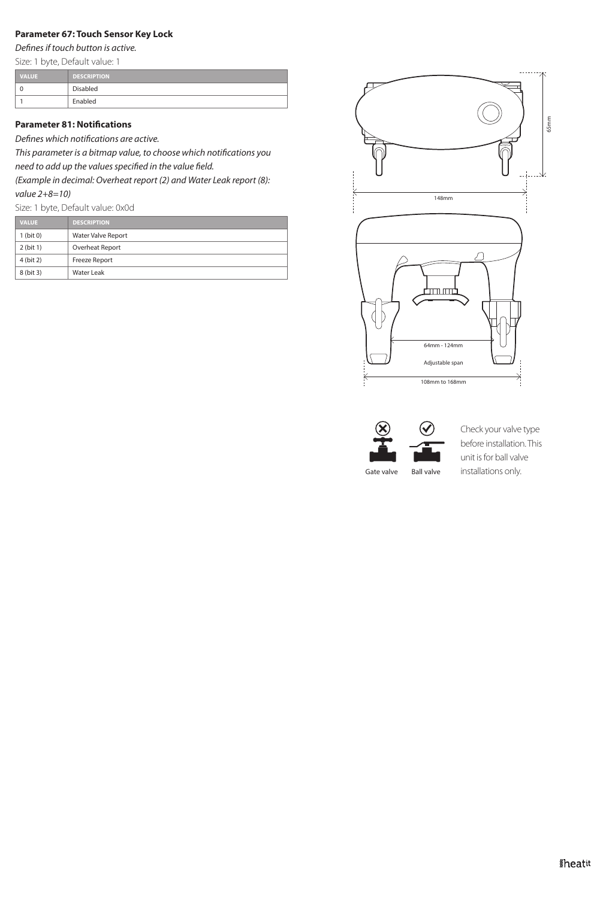# **Parameter 67: Touch Sensor Key Lock**

*Defines if touch button is active.*

Size: 1 byte, Default value: 1

| <b>VALUE</b> | <b>DESCRIPTION</b> |
|--------------|--------------------|
|              | Disabled           |
|              | Enabled            |

# **Parameter 81: Notifications**

*Defines which notifications are active.* 

*This parameter is a bitmap value, to choose which notifications you need to add up the values specified in the value field.* 

*(Example in decimal: Overheat report (2) and Water Leak report (8): value 2+8=10)*

Size: 1 byte, Default value: 0x0d

| <b>VALUE</b> | <b>DESCRIPTION</b> |
|--------------|--------------------|
| $1$ (bit 0)  | Water Valve Report |
| $2$ (bit 1)  | Overheat Report    |
| 4 (bit 2)    | Freeze Report      |
| 8 (bit 3)    | Water Leak         |





Check your valve type before installation. This unit is for ball valve installations only.

Gate valve Ball valve